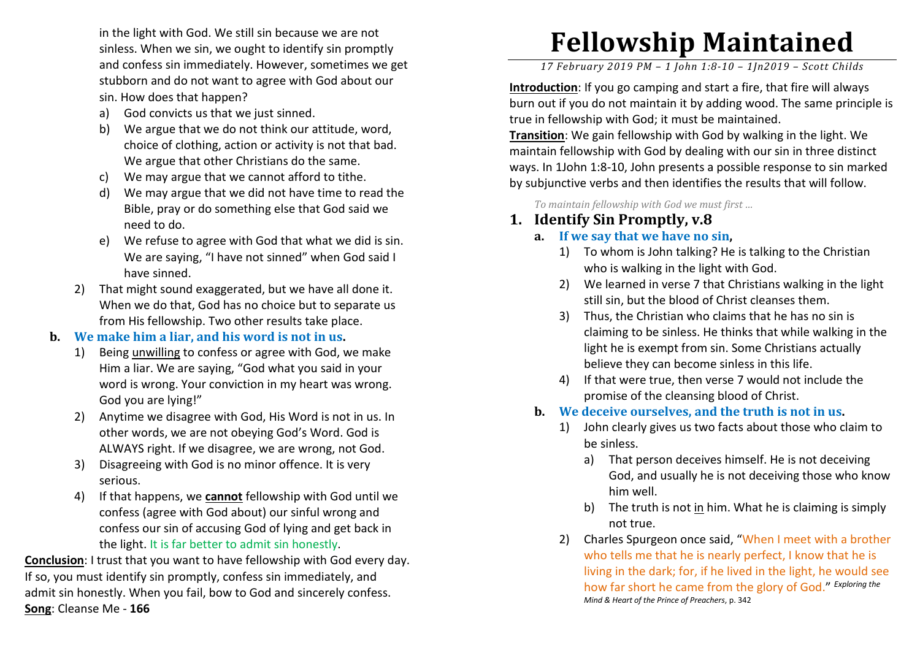in the light with God. We still sin because we are not sinless. When we sin, we ought to identify sin promptly and confess sin immediately. However, sometimes we get stubborn and do not want to agree with God about our sin. How does that happen?

- a)God convicts us that we just sinned.
- b) We argue that we do not think our attitude, word, choice of clothing, action or activity is not that bad. We argue that other Christians do the same.
- c) We may argue that we cannot afford to tithe.
- d) We may argue that we did not have time to read the Bible, pray or do something else that God said we need to do.
- e) We refuse to agree with God that what we did is sin. We are saying, "I have not sinned" when God said I have sinned.
- 2) That might sound exaggerated, but we have all done it. When we do that, God has no choice but to separate us from His fellowship. Two other results take place.

#### **b. We make him a liar, and his word is not in us.**

- 1) Being unwilling to confess or agree with God, we make Him a liar. We are saying, "God what you said in your word is wrong. Your conviction in my heart was wrong. God you are lying!"
- 2) Anytime we disagree with God, His Word is not in us. In other words, we are not obeying God's Word. God is ALWAYS right. If we disagree, we are wrong, not God.
- 3) Disagreeing with God is no minor offence. It is very serious.
- 4) If that happens, we **cannot** fellowship with God until we confess (agree with God about) our sinful wrong and confess our sin of accusing God of lying and get back in the light. It is far better to admit sin honestly.

**Conclusion**: I trust that you want to have fellowship with God every day. If so, you must identify sin promptly, confess sin immediately, and admit sin honestly. When you fail, bow to God and sincerely confess. **Song**: Cleanse Me - **166**

# **Fellowship Maintained**

*17 February 2019 PM – 1 John 1:8-10 – 1Jn2019 – Scott Childs* 

**Introduction**: If you go camping and start a fire, that fire will always burn out if you do not maintain it by adding wood. The same principle is true in fellowship with God; it must be maintained.

**Transition**: We gain fellowship with God by walking in the light. We maintain fellowship with God by dealing with our sin in three distinct ways. In 1John 1:8-10, John presents a possible response to sin marked by subjunctive verbs and then identifies the results that will follow.

*To maintain fellowship with God we must first …* 

# **1. Identify Sin Promptly, v.8**

#### **a. If we say that we have no sin,**

- 1) To whom is John talking? He is talking to the Christian who is walking in the light with God.
- 2) We learned in verse 7 that Christians walking in the light still sin, but the blood of Christ cleanses them.
- 3) Thus, the Christian who claims that he has no sin is claiming to be sinless. He thinks that while walking in the light he is exempt from sin. Some Christians actually believe they can become sinless in this life.
- 4) If that were true, then verse 7 would not include the promise of the cleansing blood of Christ.
- **b. We deceive ourselves, and the truth is not in us.** 
	- 1) John clearly gives us two facts about those who claim to be sinless.
		- a) That person deceives himself. He is not deceiving God, and usually he is not deceiving those who knowhim well.
		- b) The truth is not <u>in</u> him. What he is claiming is simply not true.
	- 2) Charles Spurgeon once said, "When I meet with a brother who tells me that he is nearly perfect, I know that he is living in the dark; for, if he lived in the light, he would see how far short he came from the glory of God." *Exploring the Mind & Heart of the Prince of Preachers*, p. 342